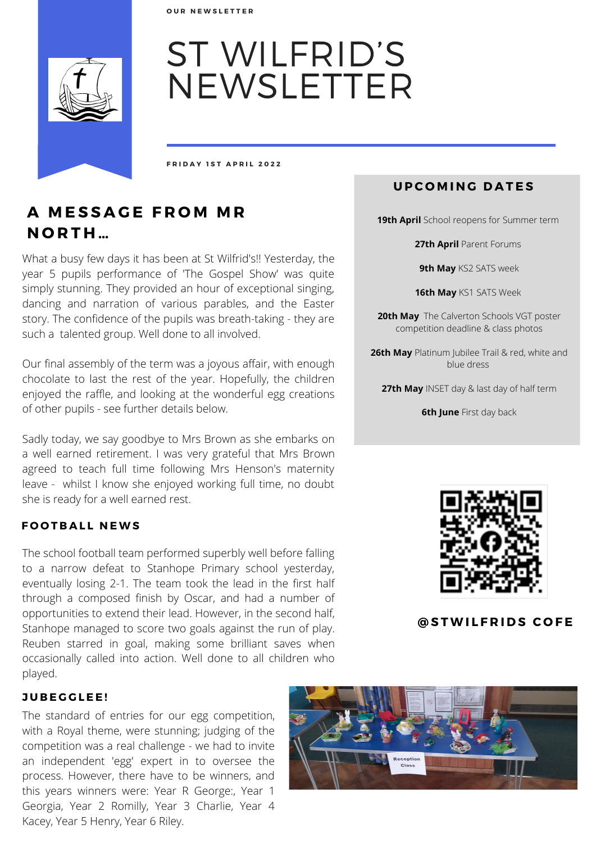**O U R N E W S L E T T E R**



# ST WILFRID'S NEWSLETTER

**F R I D A Y 1 S T A P R I L 2 0 2 2**

# **A M E S S A G E F R O M M R N O R T H …**

What a busy few days it has been at St Wilfrid's!! Yesterday, the year 5 pupils performance of 'The Gospel Show' was quite simply stunning. They provided an hour of exceptional singing, dancing and narration of various parables, and the Easter story. The confidence of the pupils was breath-taking - they are such a talented group. Well done to all involved.

Our final assembly of the term was a joyous affair, with enough chocolate to last the rest of the year. Hopefully, the children enjoyed the raffle, and looking at the wonderful egg creations of other pupils - see further details below.

Sadly today, we say goodbye to Mrs Brown as she embarks on a well earned retirement. I was very grateful that Mrs Brown agreed to teach full time following Mrs Henson's maternity leave - whilst I know she enjoyed working full time, no doubt she is ready for a well earned rest.

### **F O O T B A L L N EWS**

The school football team performed superbly well before falling to a narrow defeat to Stanhope Primary school yesterday, eventually losing 2-1. The team took the lead in the first half through a composed finish by Oscar, and had a number of opportunities to extend their lead. However, in the second half, Stanhope managed to score two goals against the run of play. Reuben starred in goal, making some brilliant saves when occasionally called into action. Well done to all children who played.

#### **J U B E G G L E E !**

The standard of entries for our egg competition, with a Royal theme, were stunning; judging of the competition was a real challenge - we had to invite an independent 'egg' expert in to oversee the process. However, there have to be winners, and this years winners were: Year R George:, Year 1 Georgia, Year 2 Romilly, Year 3 Charlie, Year 4 Kacey, Year 5 Henry, Year 6 Riley.

# **U P C O M IN G D A T E S**

**19th April** School reopens for Summer term

**27th April** Parent Forums

**9th May** KS2 SATS week

**16th May** KS1 SATS Week

**20th May** The Calverton Schools VGT poster competition deadline & class photos

**26th May** Platinum Jubilee Trail & red, white and blue dress

**27th May** INSET day & last day of half term

**6th June** First day back



**@ S TWI L F R I D S C O F E**